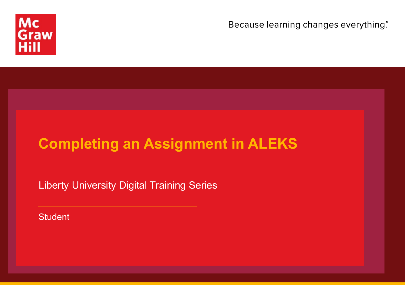

Because learning changes everything.

# **Completing an Assignment in ALEKS**

Liberty University Digital Training Series

**Student**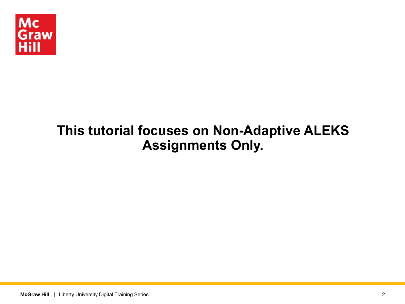

# **This tutorial focuses on Non-Adaptive ALEKS Assignments Only.**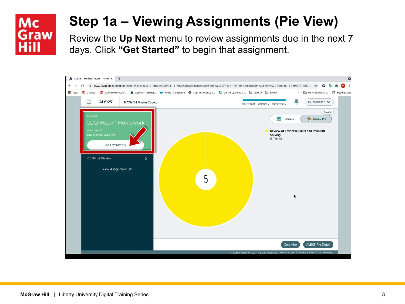# **Step 1a – Viewing Assignments (Pie View)**

Review the **Up Next** menu to review assignments due in the next 7 days. Click **"Get Started"** to begin that assignment.

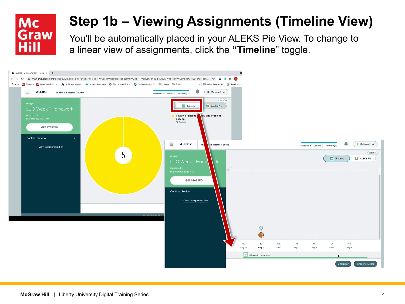

# **Step 1b – Viewing Assignments (Timeline View)**

You'll be automatically placed in your ALEKS Pie View. To change to a linear view of assignments, click the **"Timeline**" toggle.

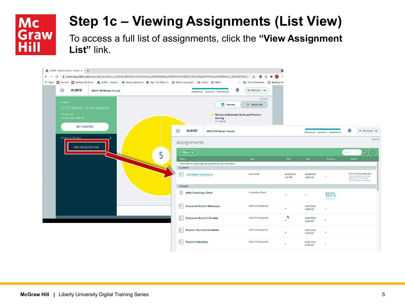

# **Step 1c – Viewing Assignments (List View)**

To access a full list of assignments, click the **"View Assignment List"** link.

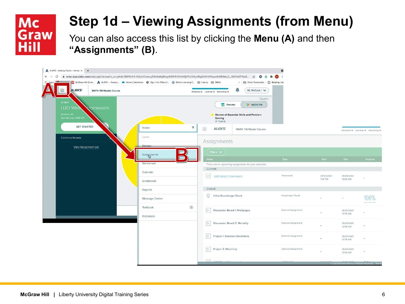

# **Step 1d – Viewing Assignments (from Menu)**

You can also access this list by clicking the **Menu (A)** and then **"Assignments" (B)**.

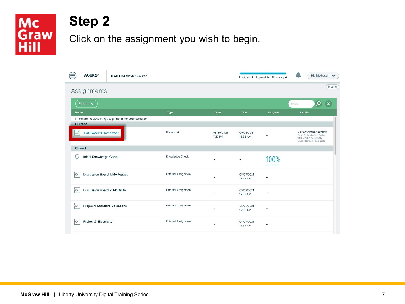# Mc<br>Graw<br>Hill

### **Step 2**

Click on the assignment you wish to begin.

|          | <b>ALEKS'</b>                         | <b>MATH 114 Master Course</b>                        |                            |                       |                              | Mastered: 5 Learned: 0 Remaining: 0 | Hi, Melissa! V                                                                                     |
|----------|---------------------------------------|------------------------------------------------------|----------------------------|-----------------------|------------------------------|-------------------------------------|----------------------------------------------------------------------------------------------------|
|          | Assignments                           |                                                      |                            |                       |                              |                                     | Español                                                                                            |
|          | Filters $\blacktriangledown$          |                                                      |                            |                       |                              |                                     | $\varphi$<br>Search                                                                                |
| Name     |                                       |                                                      | Type                       | <b>Start</b>          | Due                          | Progress                            | <b>Details</b>                                                                                     |
|          |                                       | There are no upcoming assignments for your selection |                            |                       |                              |                                     |                                                                                                    |
|          | Current                               |                                                      |                            |                       |                              |                                     |                                                                                                    |
|          | <b>LUO Week 1 Homework</b>            |                                                      | Homework                   | 08/30/2021<br>7:37 PM | 09/06/2021<br>12:59 AM       | -                                   | 0 of Unlimited Attempts<br>Final Submission Date:<br>10/15/2021 12:59 AM<br>Quick Retake available |
| Closed   |                                       |                                                      |                            |                       |                              |                                     |                                                                                                    |
| Ç        | <b>Initial Knowledge Check</b>        |                                                      | Knowledge Check            | $\overline{a}$        | $\qquad \qquad \blacksquare$ | 100%<br>                            |                                                                                                    |
| $\div$   | <b>Discussion Board 1: Mortgages</b>  |                                                      | <b>External Assignment</b> | ۰                     | 05/07/2021<br>12:59 AM       | $\overline{\phantom{0}}$            |                                                                                                    |
| $\Theta$ | <b>Discussion Board 2: Mortality</b>  |                                                      | <b>External Assignment</b> | ۰                     | 05/07/2021<br>12:59 AM       | ۰                                   |                                                                                                    |
| $\div$   | <b>Project 1: Standard Deviations</b> |                                                      | External Assignment        | $\overline{a}$        | 05/07/2021<br>12:59 AM       |                                     |                                                                                                    |
| $\div$   | <b>Project 2: Electricity</b>         |                                                      | <b>External Assignment</b> | -                     | 05/07/2021<br>12:59 AM       | $\overline{\phantom{0}}$            |                                                                                                    |
|          |                                       |                                                      |                            |                       |                              |                                     |                                                                                                    |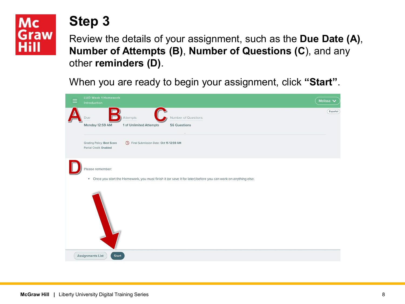# **Mc** Graw

### **Step 3**

Review the details of your assignment, such as the **Due Date (A)**, **Number of Attempts (B)**, **Number of Questions (C**), and any other **reminders (D)**.

When you are ready to begin your assignment, click **"Start"**.

| <b>LUO Week 1 Homework</b><br>Introduction                                                                          | Melissa V |
|---------------------------------------------------------------------------------------------------------------------|-----------|
| Number of Questions<br>Attempts<br>Due                                                                              | Español   |
| 1 of Unlimited Attempts<br>56 Questions<br>Monday 12:59 AM                                                          |           |
| <b>Grading Policy: Best Score</b><br><sup>O</sup> Final Submission Date: Oct 15 12:59 AM<br>Partial Credit: Enabled |           |
| Please remember:                                                                                                    |           |
| . Once you start the Homework, you must finish it (or save it for later) before you can work on anything else.      |           |
|                                                                                                                     |           |
|                                                                                                                     |           |
| Assignments List<br><b>Start</b>                                                                                    |           |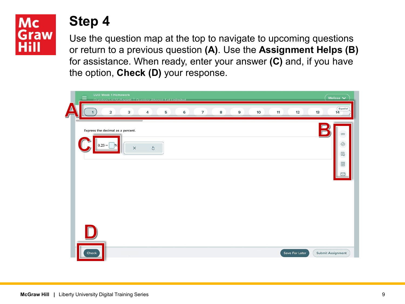### **Step 4**

Use the question map at the top to navigate to upcoming questions or return to a previous question **(A)**. Use the **Assignment Helps (B)** for assistance. When ready, enter your answer **(C)** and, if you have the option, **Check (D)** your response.

| LUO Week 1 Homework<br>Question 1 of 56 (1 point)   Question Attempt: 1 of Unlimited                     |                                              |  |  |  |  |  |  |
|----------------------------------------------------------------------------------------------------------|----------------------------------------------|--|--|--|--|--|--|
| 3<br>5<br>$\overline{7}$<br>$\mathbf{9}$<br>10<br>12<br>$\overline{4}$<br>6<br>8<br>11<br>$\overline{2}$ | Español<br>13<br>14                          |  |  |  |  |  |  |
| Express the decimal as a percent.                                                                        |                                              |  |  |  |  |  |  |
| $0.23 =$<br> %                                                                                           | $\infty$<br>$\circledcirc$                   |  |  |  |  |  |  |
| $\circ$<br>$\times$                                                                                      | $\boxtimes$                                  |  |  |  |  |  |  |
|                                                                                                          | $\boxed{\mathbb{D}}$<br>$\qquad \qquad \Box$ |  |  |  |  |  |  |
|                                                                                                          |                                              |  |  |  |  |  |  |
|                                                                                                          |                                              |  |  |  |  |  |  |
|                                                                                                          |                                              |  |  |  |  |  |  |
|                                                                                                          |                                              |  |  |  |  |  |  |
|                                                                                                          |                                              |  |  |  |  |  |  |
| Save For Later<br>Check                                                                                  | Submit Assignment                            |  |  |  |  |  |  |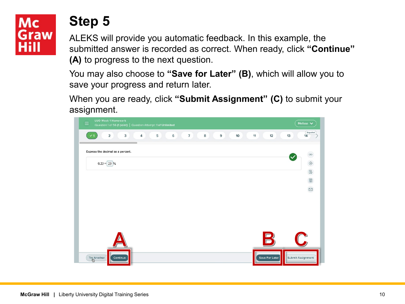# Mc Graw

### **Step 5**

ALEKS will provide you automatic feedback. In this example, the submitted answer is recorded as correct. When ready, click **"Continue" (A)** to progress to the next question.

You may also choose to **"Save for Later" (B)**, which will allow you to save your progress and return later.

When you are ready, click **"Submit Assignment" (C)** to submit your assignment.

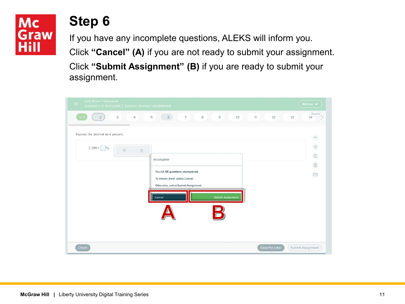# **Step 6**

If you have any incomplete questions, ALEKS will inform you.

Click **"Cancel" (A)** if you are not ready to submit your assignment.

Click **"Submit Assignment" (B)** if you are ready to submit your assignment.

| LUO Week 1 Homework<br>Question 2 of 56 (1 point)   Question Attempt: 1 of Unlimited |                                                                        | Melissa $\blacktriangleright$                   |
|--------------------------------------------------------------------------------------|------------------------------------------------------------------------|-------------------------------------------------|
| $\overline{4}$<br>$\mathbf{3}$<br>$\overline{2}$                                     | $\overline{7}$<br>6<br>$\,$ 8 $\,$<br>5<br>$\circ$<br>10               | Español<br>11<br>12<br>13<br>14                 |
| Express the decimal as a percent.                                                    |                                                                        | $\infty$                                        |
| $2.289 =$<br>$^{0/6}$<br>$\times$                                                    | $\circ$                                                                | $\circledcirc$                                  |
|                                                                                      | Incomplete                                                             | $\boxtimes$<br>$\boxed{\underline{\mathbb{Q}}}$ |
|                                                                                      | You left 55 questions unanswered.                                      | $\quad \simeq$                                  |
|                                                                                      | To answer them, select Cancel.<br>Otherwise, select Submit Assignment. |                                                 |
|                                                                                      | <b>Submit Assignment</b><br>Cancel                                     |                                                 |
|                                                                                      |                                                                        |                                                 |
|                                                                                      |                                                                        |                                                 |
|                                                                                      |                                                                        |                                                 |
| Check                                                                                |                                                                        | Submit Assignment<br>Save For Later             |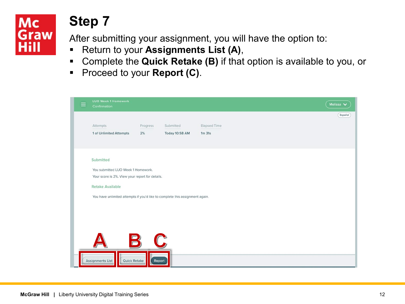# **Step 7**

After submitting your assignment, you will have the option to:

- Return to your **Assignments List (A)**,
- Complete the **Quick Retake (B)** if that option is available to you, or
- **Proceed to your Report (C).**

| $\equiv$ | <b>LUO Week 1 Homework</b><br>Confirmation                                   |          |                       |              |  | Melissa V |  |  |  |
|----------|------------------------------------------------------------------------------|----------|-----------------------|--------------|--|-----------|--|--|--|
|          |                                                                              |          |                       |              |  | Español   |  |  |  |
|          | Attempts                                                                     | Progress | Submitted             | Elapsed Time |  |           |  |  |  |
|          | 1 of Unlimited Attempts                                                      | 2%       | <b>Today 10:58 AM</b> | $1m$ 31s     |  |           |  |  |  |
|          |                                                                              |          |                       |              |  |           |  |  |  |
|          |                                                                              |          |                       |              |  |           |  |  |  |
|          | Submitted                                                                    |          |                       |              |  |           |  |  |  |
|          | You submitted LUO Week 1 Homework.                                           |          |                       |              |  |           |  |  |  |
|          | Your score is 2%. View your report for details.                              |          |                       |              |  |           |  |  |  |
|          | <b>Retake Available</b>                                                      |          |                       |              |  |           |  |  |  |
|          | You have unlimited attempts if you'd like to complete this assignment again. |          |                       |              |  |           |  |  |  |
|          |                                                                              |          |                       |              |  |           |  |  |  |
|          |                                                                              |          |                       |              |  |           |  |  |  |
|          |                                                                              |          |                       |              |  |           |  |  |  |
|          |                                                                              |          |                       |              |  |           |  |  |  |
|          | $\blacksquare$                                                               |          | $\sqrt{\frac{1}{2}}$  |              |  |           |  |  |  |
|          |                                                                              |          |                       |              |  |           |  |  |  |
|          |                                                                              |          |                       |              |  |           |  |  |  |
|          | <b>Assignments List</b><br>Quick Retake                                      | Report   |                       |              |  |           |  |  |  |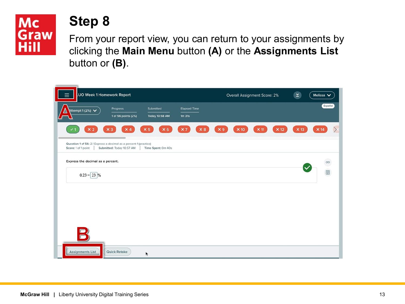

### **Step 8**

From your report view, you can return to your assignments by clicking the **Main Menu** button **(A)** or the **Assignments List** button or **(B)**.

| <b>UO Week 1 Homework Report</b><br>$\equiv$                                             |                           |                          |                              |                | Overall Assignment Score: 2% |             |             | $\leq$      | Melissa V                    |
|------------------------------------------------------------------------------------------|---------------------------|--------------------------|------------------------------|----------------|------------------------------|-------------|-------------|-------------|------------------------------|
| Attempt 1 (2%) $\vee$<br>$\overline{\phantom{a}}$                                        | Progress                  | Submitted                | <b>Elapsed Time</b>          |                |                              |             |             |             | Español                      |
|                                                                                          | 1 of 56 points (2%)       | <b>Today 10:58 AM</b>    | $1m$ 31s                     |                |                              |             |             |             |                              |
| $\times 2$                                                                               | $x_3$<br>$\times 4$       | $\times 6$<br>$\times 5$ | $\times 8$<br>x <sub>7</sub> | x <sub>9</sub> | $\times 10$                  | $\times$ 11 | $\times$ 12 | $\times 13$ | $\rightarrow$<br>$\times$ 14 |
| Question 1 of 56: 2.1 Express a decimal as a percent 1 (practice)<br>Score: 1 of 1 point | Submitted: Today 10:57 AM | Time Spent: Om 40s       |                              |                |                              |             |             |             |                              |
| Express the decimal as a percent.                                                        |                           |                          |                              |                |                              |             |             |             | 图 8                          |
| $0.23 = 23$ %                                                                            |                           |                          |                              |                |                              |             |             |             |                              |
|                                                                                          |                           |                          |                              |                |                              |             |             |             |                              |
|                                                                                          |                           |                          |                              |                |                              |             |             |             |                              |
|                                                                                          |                           |                          |                              |                |                              |             |             |             |                              |
|                                                                                          |                           |                          |                              |                |                              |             |             |             |                              |
| <b>Assignments List</b>                                                                  | Quick Retake              | k                        |                              |                |                              |             |             |             |                              |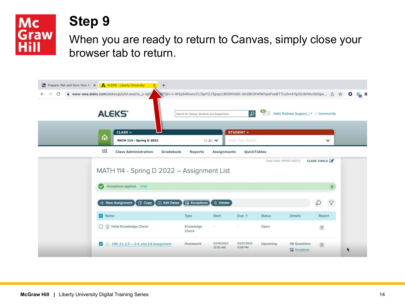

### **Step 9**

When you are ready to return to Canvas, simply close your browser tab to return.